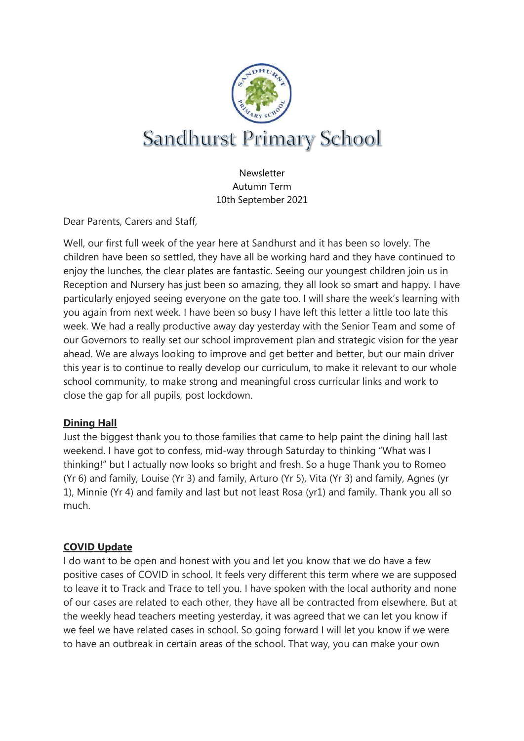

Newsletter Autumn Term 10th September 2021

Dear Parents, Carers and Staff,

Well, our first full week of the year here at Sandhurst and it has been so lovely. The children have been so settled, they have all be working hard and they have continued to enjoy the lunches, the clear plates are fantastic. Seeing our youngest children join us in Reception and Nursery has just been so amazing, they all look so smart and happy. I have particularly enjoyed seeing everyone on the gate too. I will share the week's learning with you again from next week. I have been so busy I have left this letter a little too late this week. We had a really productive away day yesterday with the Senior Team and some of our Governors to really set our school improvement plan and strategic vision for the year ahead. We are always looking to improve and get better and better, but our main driver this year is to continue to really develop our curriculum, to make it relevant to our whole school community, to make strong and meaningful cross curricular links and work to close the gap for all pupils, post lockdown.

### **Dining Hall**

Just the biggest thank you to those families that came to help paint the dining hall last weekend. I have got to confess, mid-way through Saturday to thinking "What was I thinking!" but I actually now looks so bright and fresh. So a huge Thank you to Romeo (Yr 6) and family, Louise (Yr 3) and family, Arturo (Yr 5), Vita (Yr 3) and family, Agnes (yr 1), Minnie (Yr 4) and family and last but not least Rosa (yr1) and family. Thank you all so much.

### **COVID Update**

I do want to be open and honest with you and let you know that we do have a few positive cases of COVID in school. It feels very different this term where we are supposed to leave it to Track and Trace to tell you. I have spoken with the local authority and none of our cases are related to each other, they have all be contracted from elsewhere. But at the weekly head teachers meeting yesterday, it was agreed that we can let you know if we feel we have related cases in school. So going forward I will let you know if we were to have an outbreak in certain areas of the school. That way, you can make your own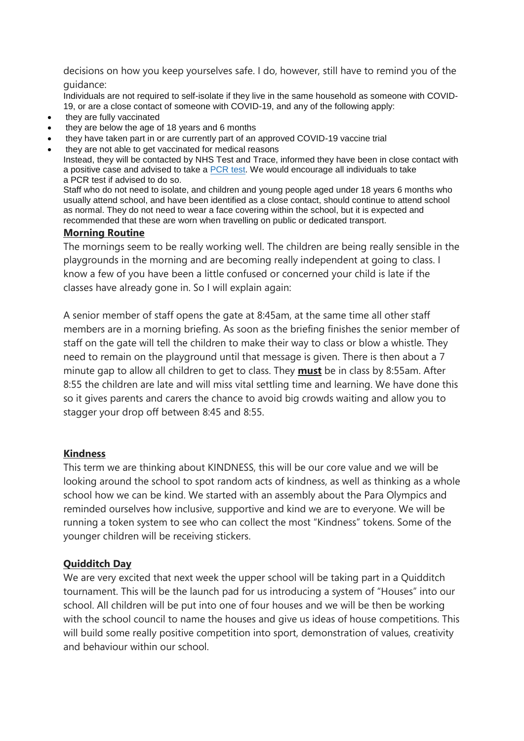decisions on how you keep yourselves safe. I do, however, still have to remind you of the guidance:

Individuals are not required to self-isolate if they live in the same household as someone with COVID-19, or are a close contact of someone with COVID-19, and any of the following apply:

- they are fully vaccinated
- they are below the age of 18 years and 6 months
- they have taken part in or are currently part of an approved COVID-19 vaccine trial
- they are not able to get vaccinated for medical reasons

Instead, they will be contacted by NHS Test and Trace, informed they have been in close contact with a positive case and advised to take a [PCR](https://www.gov.uk/get-coronavirus-test) test. We would encourage all individuals to take a PCR test if advised to do so.

Staff who do not need to isolate, and children and young people aged under 18 years 6 months who usually attend school, and have been identified as a close contact, should continue to attend school as normal. They do not need to wear a face covering within the school, but it is expected and recommended that these are worn when travelling on public or dedicated transport.

#### **Morning Routine**

The mornings seem to be really working well. The children are being really sensible in the playgrounds in the morning and are becoming really independent at going to class. I know a few of you have been a little confused or concerned your child is late if the classes have already gone in. So I will explain again:

A senior member of staff opens the gate at 8:45am, at the same time all other staff members are in a morning briefing. As soon as the briefing finishes the senior member of staff on the gate will tell the children to make their way to class or blow a whistle. They need to remain on the playground until that message is given. There is then about a 7 minute gap to allow all children to get to class. They **must** be in class by 8:55am. After 8:55 the children are late and will miss vital settling time and learning. We have done this so it gives parents and carers the chance to avoid big crowds waiting and allow you to stagger your drop off between 8:45 and 8:55.

#### **Kindness**

This term we are thinking about KINDNESS, this will be our core value and we will be looking around the school to spot random acts of kindness, as well as thinking as a whole school how we can be kind. We started with an assembly about the Para Olympics and reminded ourselves how inclusive, supportive and kind we are to everyone. We will be running a token system to see who can collect the most "Kindness" tokens. Some of the younger children will be receiving stickers.

#### **Quidditch Day**

We are very excited that next week the upper school will be taking part in a Quidditch tournament. This will be the launch pad for us introducing a system of "Houses" into our school. All children will be put into one of four houses and we will be then be working with the school council to name the houses and give us ideas of house competitions. This will build some really positive competition into sport, demonstration of values, creativity and behaviour within our school.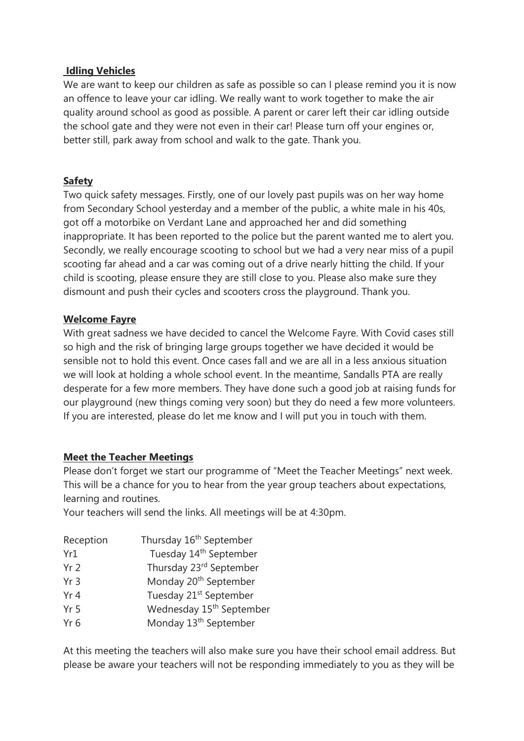#### **Idling Vehicles**

We are want to keep our children as safe as possible so can I please remind you it is now an offence to leave your car idling. We really want to work together to make the air quality around school as good as possible. A parent or carer left their car idling outside the school gate and they were not even in their car! Please turn off your engines or, better still, park away from school and walk to the gate. Thank you.

### **Safety**

Two quick safety messages. Firstly, one of our lovely past pupils was on her way home from Secondary School yesterday and a member of the public, a white male in his 40s, got off a motorbike on Verdant Lane and approached her and did something inappropriate. It has been reported to the police but the parent wanted me to alert you. Secondly, we really encourage scooting to school but we had a very near miss of a pupil scooting far ahead and a car was coming out of a drive nearly hitting the child. If your child is scooting, please ensure they are still close to you. Please also make sure they dismount and push their cycles and scooters cross the playground. Thank you.

### **Welcome Fayre**

With great sadness we have decided to cancel the Welcome Fayre. With Covid cases still so high and the risk of bringing large groups together we have decided it would be sensible not to hold this event. Once cases fall and we are all in a less anxious situation we will look at holding a whole school event. In the meantime, Sandalls PTA are really desperate for a few more members. They have done such a good job at raising funds for our playground (new things coming very soon) but they do need a few more volunteers. If you are interested, please do let me know and I will put you in touch with them.

### **Meet the Teacher Meetings**

Please don't forget we start our programme of "Meet the Teacher Meetings" next week. This will be a chance for you to hear from the year group teachers about expectations, learning and routines.

Your teachers will send the links. All meetings will be at 4:30pm.

| Reception       | Thursday 16 <sup>th</sup> September  |
|-----------------|--------------------------------------|
| Yr1             | Tuesday 14 <sup>th</sup> September   |
| Yr <sub>2</sub> | Thursday 23rd September              |
| Yr <sub>3</sub> | Monday 20 <sup>th</sup> September    |
| Yr 4            | Tuesday 21 <sup>st</sup> September   |
| Yr <sub>5</sub> | Wednesday 15 <sup>th</sup> September |
| Yr <sub>6</sub> | Monday 13 <sup>th</sup> September    |

At this meeting the teachers will also make sure you have their school email address. But please be aware your teachers will not be responding immediately to you as they will be